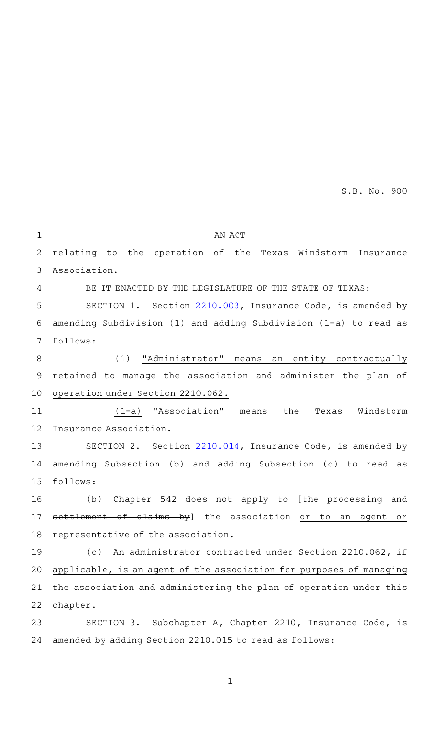AN ACT relating to the operation of the Texas Windstorm Insurance Association. BE IT ENACTED BY THE LEGISLATURE OF THE STATE OF TEXAS: SECTION 1. Section [2210.003,](http://www.statutes.legis.state.tx.us/GetStatute.aspx?Code=IN&Value=2210.003&Date=5/29/2015) Insurance Code, is amended by amending Subdivision (1) and adding Subdivision (1-a) to read as follows: (1) "Administrator" means an entity contractually retained to manage the association and administer the plan of operation under Section 2210.062. (1-a) "Association" means the Texas Windstorm Insurance Association. SECTION 2. Section [2210.014,](http://www.statutes.legis.state.tx.us/GetStatute.aspx?Code=IN&Value=2210.014&Date=5/29/2015) Insurance Code, is amended by amending Subsection (b) and adding Subsection (c) to read as follows: (b) Chapter 542 does not apply to  $[the$  processing and settlement of claims by] the association or to an agent or representative of the association. (c) An administrator contracted under Section 2210.062, if applicable, is an agent of the association for purposes of managing the association and administering the plan of operation under this chapter. SECTION 3. Subchapter A, Chapter 2210, Insurance Code, is amended by adding Section 2210.015 to read as follows: 1 2 3  $\Delta$ 5 6 7 8 9 10 11 12 13 14 15 16 17 18 19 20 21 22 23 24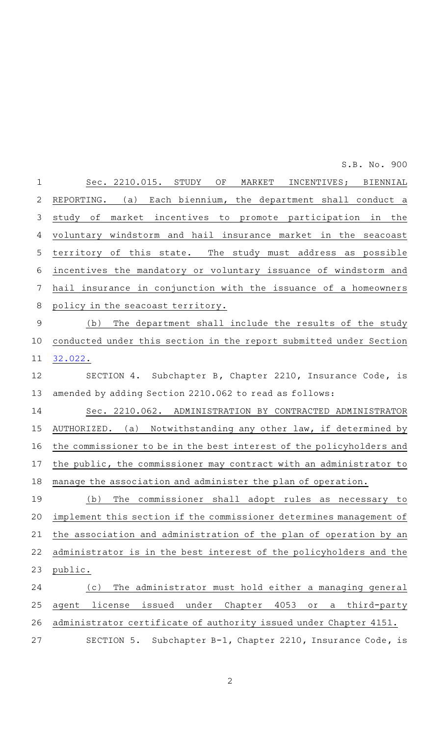| $\mathbf 1$ | Sec. 2210.015. STUDY OF MARKET INCENTIVES; BIENNIAL                                          |
|-------------|----------------------------------------------------------------------------------------------|
| 2           | REPORTING. (a) Each biennium, the department shall conduct a                                 |
| 3           | market incentives to promote participation in the<br>study of                                |
| 4           | voluntary windstorm and hail insurance market in the seacoast                                |
| 5           | territory of this state. The study must address as possible                                  |
| 6           | incentives the mandatory or voluntary issuance of windstorm and                              |
| 7           | hail insurance in conjunction with the issuance of a homeowners                              |
| 8           | policy in the seacoast territory.                                                            |
| $\mathsf 9$ | The department shall include the results of the study<br>(b)                                 |
| 10          | conducted under this section in the report submitted under Section                           |
| 11          | 32.022.                                                                                      |
| 12          | SECTION 4. Subchapter B, Chapter 2210, Insurance Code, is                                    |
| 13          | amended by adding Section 2210.062 to read as follows:                                       |
| 14          | Sec. 2210.062. ADMINISTRATION BY CONTRACTED ADMINISTRATOR                                    |
| 15          | AUTHORIZED. (a) Notwithstanding any other law, if determined by                              |
| 16          | the commissioner to be in the best interest of the policyholders and                         |
| 17          | the public, the commissioner may contract with an administrator to                           |
| 18          | manage the association and administer the plan of operation.                                 |
| 19          | The commissioner shall adopt rules as necessary to<br>(b)                                    |
| 20          | implement this section if the commissioner determines management of                          |
| 21          | the association and administration of the plan of operation by an                            |
| 22          | administrator is in the best interest of the policyholders and the                           |
| 23          | public.                                                                                      |
| 24          | The administrator must hold either a managing general<br>(c)                                 |
| 25          | issued<br>Chapter<br>4053<br>license<br>under<br>agent<br>$\circ$ r $\,$<br>third-party<br>a |
| 26          | administrator certificate of authority issued under Chapter 4151.                            |
| 27          | SECTION 5.<br>Subchapter B-1, Chapter 2210, Insurance Code, is                               |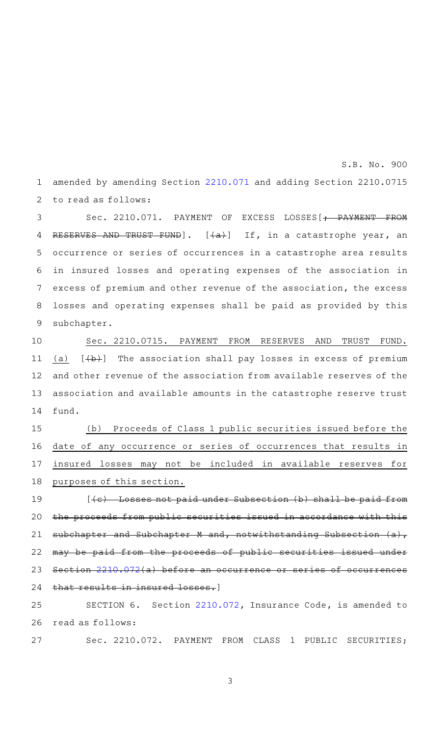amended by amending Section [2210.071](http://www.statutes.legis.state.tx.us/GetStatute.aspx?Code=IN&Value=2210.071&Date=5/29/2015) and adding Section 2210.0715 to read as follows: 1 2

Sec. 2210.071. PAYMENT OF EXCESS LOSSES[+ PAYMENT FROM RESERVES AND TRUST FUND]. [(a)] If, in a catastrophe year, an occurrence or series of occurrences in a catastrophe area results in insured losses and operating expenses of the association in excess of premium and other revenue of the association, the excess losses and operating expenses shall be paid as provided by this subchapter. 3 4 5 6 7 8 9

Sec. 2210.0715. PAYMENT FROM RESERVES AND TRUST FUND. (a)  $[\frac{1}{b}]$  The association shall pay losses in excess of premium and other revenue of the association from available reserves of the association and available amounts in the catastrophe reserve trust fund. 10 11 12 13 14

(b) Proceeds of Class 1 public securities issued before the date of any occurrence or series of occurrences that results in insured losses may not be included in available reserves for purposes of this section. 15 16 17 18

 $[$  ( $c$ ) Losses not paid under Subsection (b) shall be paid from the proceeds from public securities issued in accordance with this subchapter and Subchapter M and, notwithstanding Subsection (a), may be paid from the proceeds of public securities issued under Section [2210.072](http://www.statutes.legis.state.tx.us/GetStatute.aspx?Code=IN&Value=2210.072&Date=5/29/2015)(a) before an occurrence or series of occurrences that results in insured losses.] 19 20 21 22 23 24

SECTION 6. Section [2210.072,](http://www.statutes.legis.state.tx.us/GetStatute.aspx?Code=IN&Value=2210.072&Date=5/29/2015) Insurance Code, is amended to read as follows: 25 26

Sec. 2210.072. PAYMENT FROM CLASS 1 PUBLIC SECURITIES; 27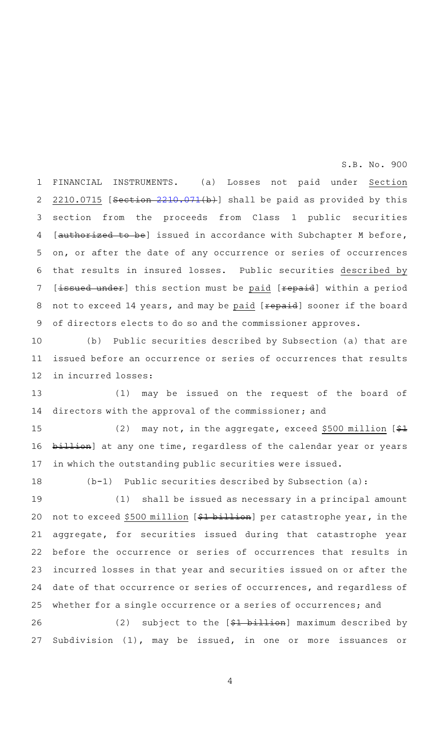FINANCIAL INSTRUMENTS. (a) Losses not paid under Section 2210.0715 [Section [2210.071\(](http://www.statutes.legis.state.tx.us/GetStatute.aspx?Code=IN&Value=2210.071&Date=5/29/2015)b)] shall be paid as provided by this section from the proceeds from Class 1 public securities [authorized to be] issued in accordance with Subchapter M before, on, or after the date of any occurrence or series of occurrences that results in insured losses. Public securities described by [issued under] this section must be paid [repaid] within a period not to exceed 14 years, and may be paid [repaid] sooner if the board of directors elects to do so and the commissioner approves. 1 2 3 4 5 6 7 8 9

(b) Public securities described by Subsection (a) that are issued before an occurrence or series of occurrences that results in incurred losses: 10 11 12

(1) may be issued on the request of the board of directors with the approval of the commissioner; and 13 14

(2) may not, in the aggregate, exceed \$500 million  $[$  $\frac{21}{21}$ billion] at any one time, regardless of the calendar year or years in which the outstanding public securities were issued. 15 16 17

18

 $(b-1)$  Public securities described by Subsection (a):

(1) shall be issued as necessary in a principal amount not to exceed \$500 million [\$1 billion] per catastrophe year, in the aggregate, for securities issued during that catastrophe year before the occurrence or series of occurrences that results in incurred losses in that year and securities issued on or after the date of that occurrence or series of occurrences, and regardless of whether for a single occurrence or a series of occurrences; and 19 20 21 22 23 24 25

(2) subject to the  $[$1 b11]$  maximum described by Subdivision (1), may be issued, in one or more issuances or 26 27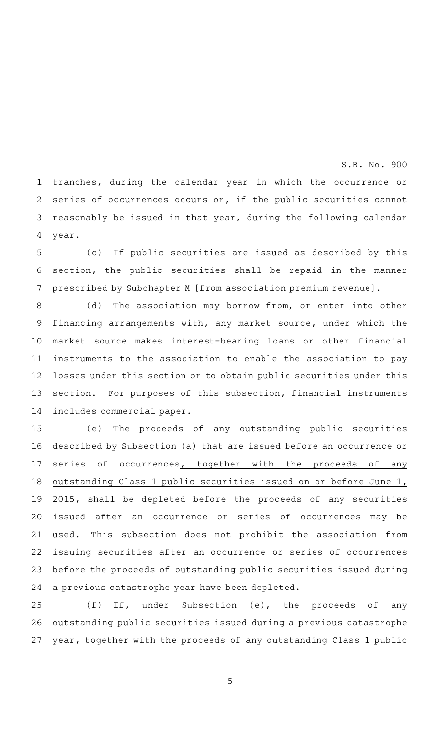tranches, during the calendar year in which the occurrence or series of occurrences occurs or, if the public securities cannot reasonably be issued in that year, during the following calendar year. 1 2 3 4

(c) If public securities are issued as described by this section, the public securities shall be repaid in the manner prescribed by Subchapter M [from association premium revenue]. 5 6 7

(d) The association may borrow from, or enter into other financing arrangements with, any market source, under which the market source makes interest-bearing loans or other financial instruments to the association to enable the association to pay losses under this section or to obtain public securities under this section. For purposes of this subsection, financial instruments includes commercial paper. 8 9 10 11 12 13 14

(e) The proceeds of any outstanding public securities described by Subsection (a) that are issued before an occurrence or series of occurrences, together with the proceeds of any outstanding Class 1 public securities issued on or before June 1, 2015, shall be depleted before the proceeds of any securities issued after an occurrence or series of occurrences may be used. This subsection does not prohibit the association from issuing securities after an occurrence or series of occurrences before the proceeds of outstanding public securities issued during a previous catastrophe year have been depleted. 15 16 17 18 19 20 21 22 23 24

 $(f)$  If, under Subsection (e), the proceeds of any outstanding public securities issued during a previous catastrophe year, together with the proceeds of any outstanding Class 1 public 25 26 27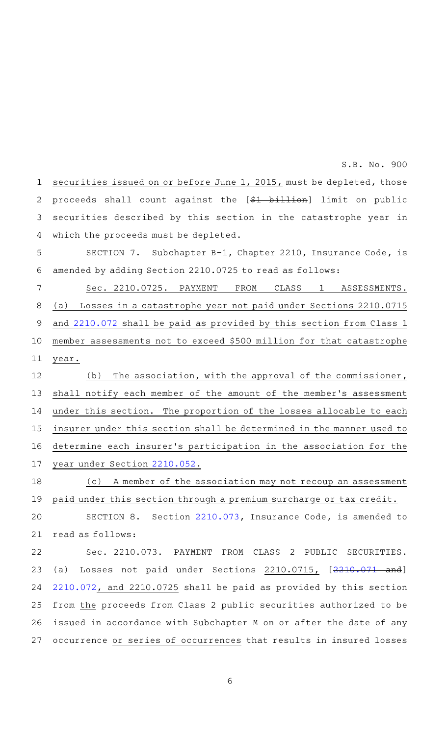securities issued on or before June 1, 2015, must be depleted, those proceeds shall count against the [\$1 billion] limit on public securities described by this section in the catastrophe year in which the proceeds must be depleted. 1 2 3 4

SECTION 7. Subchapter B-1, Chapter 2210, Insurance Code, is amended by adding Section 2210.0725 to read as follows: 5 6

Sec. 2210.0725. PAYMENT FROM CLASS 1 ASSESSMENTS. (a) Losses in a catastrophe year not paid under Sections 2210.0715 and [2210.072](http://www.statutes.legis.state.tx.us/GetStatute.aspx?Code=IN&Value=2210.072&Date=5/29/2015) shall be paid as provided by this section from Class 1 member assessments not to exceed \$500 million for that catastrophe year. 7 8 9 10 11

 $(b)$  The association, with the approval of the commissioner, shall notify each member of the amount of the member 's assessment under this section. The proportion of the losses allocable to each insurer under this section shall be determined in the manner used to determine each insurer's participation in the association for the year under Section [2210.052](http://www.statutes.legis.state.tx.us/GetStatute.aspx?Code=IN&Value=2210.052&Date=5/29/2015). 12 13 14 15 16 17

(c) A member of the association may not recoup an assessment paid under this section through a premium surcharge or tax credit. 18 19

SECTION 8. Section [2210.073,](http://www.statutes.legis.state.tx.us/GetStatute.aspx?Code=IN&Value=2210.073&Date=5/29/2015) Insurance Code, is amended to read as follows: 20 21

Sec. 2210.073. PAYMENT FROM CLASS 2 PUBLIC SECURITIES. (a) Losses not paid under Sections 2210.0715, [\[2210.071](http://www.statutes.legis.state.tx.us/GetStatute.aspx?Code=IN&Value=2210.071&Date=5/29/2015) and] [2210.072](http://www.statutes.legis.state.tx.us/GetStatute.aspx?Code=IN&Value=2210.072&Date=5/29/2015), and 2210.0725 shall be paid as provided by this section from the proceeds from Class 2 public securities authorized to be issued in accordance with Subchapter M on or after the date of any occurrence or series of occurrences that results in insured losses 22 23 24 25 26 27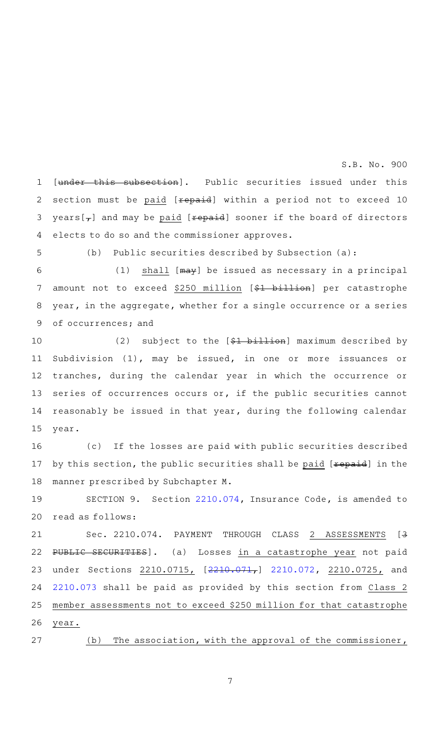[under this subsection]. Public securities issued under this section must be paid [repaid] within a period not to exceed 10  $years[**+**]$  and may be paid [ ${\texttt{repeat}}$ ] sooner if the board of directors elects to do so and the commissioner approves. 1 2 3 4

5

(b) Public securities described by Subsection  $(a):$ 

(1) shall  $[ma+y]$  be issued as necessary in a principal amount not to exceed \$250 million [\$1 billion] per catastrophe year, in the aggregate, whether for a single occurrence or a series of occurrences; and 6 7 8 9

(2) subject to the  $[$1 billion]$  maximum described by Subdivision (1), may be issued, in one or more issuances or tranches, during the calendar year in which the occurrence or series of occurrences occurs or, if the public securities cannot reasonably be issued in that year, during the following calendar year. 10 11 12 13 14 15

(c) If the losses are paid with public securities described by this section, the public securities shall be paid [repaid] in the manner prescribed by Subchapter M. 16 17 18

SECTION 9. Section [2210.074,](http://www.statutes.legis.state.tx.us/GetStatute.aspx?Code=IN&Value=2210.074&Date=5/29/2015) Insurance Code, is amended to read as follows: 19 20

Sec. 2210.074. PAYMENT THROUGH CLASS 2 ASSESSMENTS [<del>3</del> PUBLIC SECURITIES]. (a) Losses in a catastrophe year not paid under Sections [2210.071](http://www.statutes.legis.state.tx.us/GetStatute.aspx?Code=IN&Value=2210.071&Date=5/29/2015)5, [2210.071,] [2210.072](http://www.statutes.legis.state.tx.us/GetStatute.aspx?Code=IN&Value=2210.072&Date=5/29/2015), 2210.0725, and [2210.073](http://www.statutes.legis.state.tx.us/GetStatute.aspx?Code=IN&Value=2210.073&Date=5/29/2015) shall be paid as provided by this section from Class 2 member assessments not to exceed \$250 million for that catastrophe year. 21 22 23 24 25 26

(b) The association, with the approval of the commissioner, 27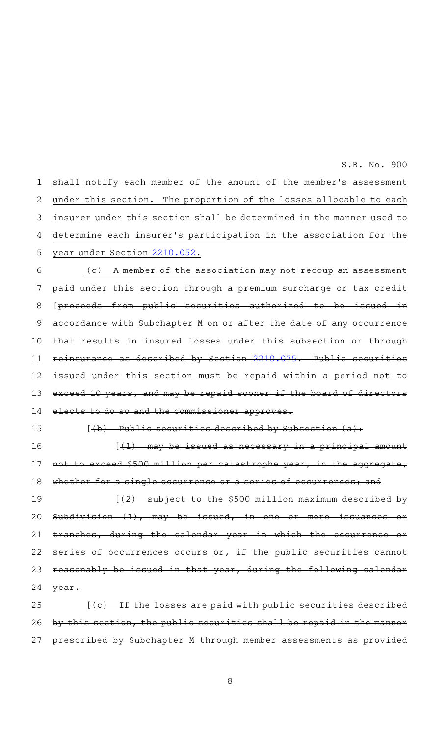shall notify each member of the amount of the member 's assessment under this section. The proportion of the losses allocable to each insurer under this section shall be determined in the manner used to determine each insurer 's participation in the association for the year under Section [2210.052](http://www.statutes.legis.state.tx.us/GetStatute.aspx?Code=IN&Value=2210.052&Date=5/29/2015). (c) A member of the association may not recoup an assessment paid under this section through a premium surcharge or tax credit [proceeds from public securities authorized to be issued accordance with Subchapter M on or after the date of any occurrence results in insured losses under this subsection reinsurance as described by Section [2210.075.](http://www.statutes.legis.state.tx.us/GetStatute.aspx?Code=IN&Value=2210.075&Date=5/29/2015) Public securities issued under this section must be repaid within a period exceed 10 years, and may be repaid sooner if the board of di elects to do so and the commissioner approves.  $[4b)$  Public securities described by Subsection  $(a)$ :  $[41)$  may be issued as necessary in a principal amount exceed \$500 million per catastrophe year, in the aggregate, whether for a single occurrence or a series of occurrences; and  $[42)$  subject to the \$500 million maximum described by Subdivision  $(1)$ , may be issued, in one or more  $trans$  during the calendar year in which the occurrences occurs or, if the public reasonably be issued in that year, during the followi year.  $[$  ( $\epsilon$ ) If the losses are paid with public securities described by this section, the public securities shall be repaid in prescribed by Subchapter M through member assessments as provided 1 2 3 4 5 6 7 8 9 10 11 12 13 14 15 16 17 18 19 20 21 22 23 24 25 26 27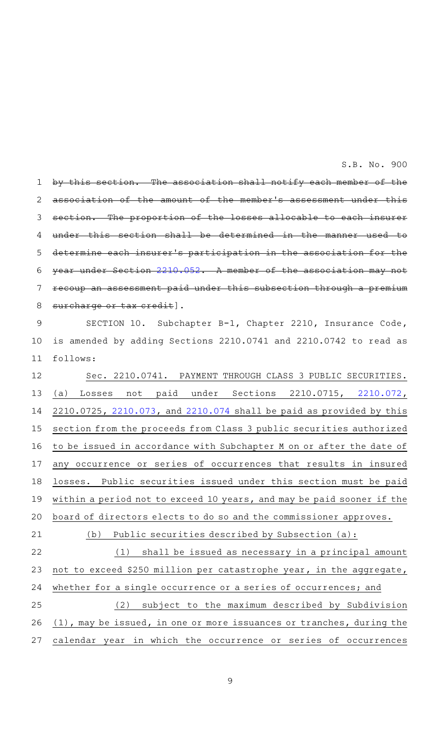section. The association shall notify each member association of the amount of the member 's assessment under this section. The proportion of the losses allocable to each insurer under this section shall be determined in the manner determine each insurer's participation in the association year under Section [2210.052.](http://www.statutes.legis.state.tx.us/GetStatute.aspx?Code=IN&Value=2210.052&Date=5/29/2015) A member of the association may assessment paid under this subsection through a premium surcharge or tax credit]. 1 2 3 4 5 6 7 8

SECTION 10. Subchapter B-1, Chapter 2210, Insurance Code, is amended by adding Sections 2210.0741 and 2210.0742 to read as follows: 9 10 11

Sec. 2210.0741. PAYMENT THROUGH CLASS 3 PUBLIC SECURITIES. (a) Losses not paid under Sections 2210.0715, [2210.072](http://www.statutes.legis.state.tx.us/GetStatute.aspx?Code=IN&Value=2210.072&Date=5/29/2015), 2210.0725, [2210.073](http://www.statutes.legis.state.tx.us/GetStatute.aspx?Code=IN&Value=2210.073&Date=5/29/2015), and [2210.074](http://www.statutes.legis.state.tx.us/GetStatute.aspx?Code=IN&Value=2210.074&Date=5/29/2015) shall be paid as provided by this section from the proceeds from Class 3 public securities authorized to be issued in accordance with Subchapter M on or after the date of any occurrence or series of occurrences that results in insured losses. Public securities issued under this section must be paid within a period not to exceed 10 years, and may be paid sooner if the board of directors elects to do so and the commissioner approves. (b) Public securities described by Subsection  $(a):$ 12 13 14 15 16 17 18 19 20 21

 $(1)$  shall be issued as necessary in a principal amount not to exceed \$250 million per catastrophe year, in the aggregate, whether for a single occurrence or a series of occurrences; and (2) subject to the maximum described by Subdivision (1), may be issued, in one or more issuances or tranches, during the 22 23 24 25 26

27

9

calendar year in which the occurrence or series of occurrences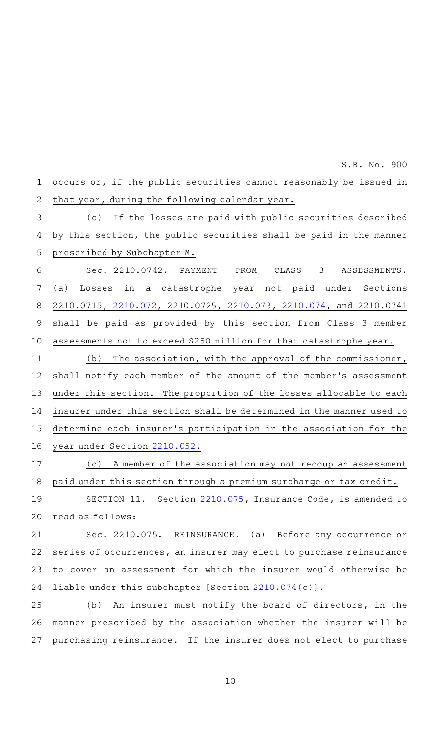occurs or, if the public securities cannot reasonably be issued in that year, during the following calendar year. (c) If the losses are paid with public securities described by this section, the public securities shall be paid in the manner prescribed by Subchapter M. Sec. 2210.0742. PAYMENT FROM CLASS 3 ASSESSMENTS. (a) Losses in a catastrophe year not paid under Sections 2210.0715, [2210.072,](http://www.statutes.legis.state.tx.us/GetStatute.aspx?Code=IN&Value=2210.072&Date=5/29/2015) 2210.0725, [2210.073,](http://www.statutes.legis.state.tx.us/GetStatute.aspx?Code=IN&Value=2210.073&Date=5/29/2015) [2210.074](http://www.statutes.legis.state.tx.us/GetStatute.aspx?Code=IN&Value=2210.074&Date=5/29/2015), and 2210.0741 shall be paid as provided by this section from Class 3 member assessments not to exceed \$250 million for that catastrophe year.  $(b)$  The association, with the approval of the commissioner, shall notify each member of the amount of the member 's assessment under this section. The proportion of the losses allocable to each insurer under this section shall be determined in the manner used to determine each insurer 's participation in the association for the year under Section [2210.052](http://www.statutes.legis.state.tx.us/GetStatute.aspx?Code=IN&Value=2210.052&Date=5/29/2015). 1 2 3 4 5 6 7 8 9 10 11 12 13 14 15 16

S.B. No. 900

(c) A member of the association may not recoup an assessment paid under this section through a premium surcharge or tax credit. 17 18

SECTION 11. Section [2210.075](http://www.statutes.legis.state.tx.us/GetStatute.aspx?Code=IN&Value=2210.075&Date=5/29/2015), Insurance Code, is amended to read as follows: 19 20

Sec. 2210.075. REINSURANCE. (a) Before any occurrence or series of occurrences, an insurer may elect to purchase reinsurance to cover an assessment for which the insurer would otherwise be liable under this subchapter [Section [2210.074\(](http://www.statutes.legis.state.tx.us/GetStatute.aspx?Code=IN&Value=2210.074&Date=5/29/2015)c)]. 21 22 23 24

(b) An insurer must notify the board of directors, in the manner prescribed by the association whether the insurer will be purchasing reinsurance. If the insurer does not elect to purchase 25 26 27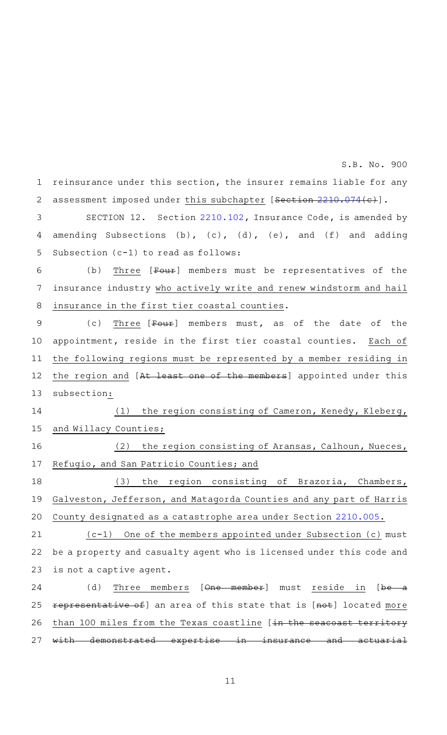reinsurance under this section, the insurer remains liable for any assessment imposed under this subchapter [Section [2210.074\(](http://www.statutes.legis.state.tx.us/GetStatute.aspx?Code=IN&Value=2210.074&Date=5/29/2015)c)]. 1 2

SECTION 12. Section [2210.102](http://www.statutes.legis.state.tx.us/GetStatute.aspx?Code=IN&Value=2210.102&Date=5/29/2015), Insurance Code, is amended by amending Subsections (b), (c), (d), (e), and (f) and adding Subsection (c-1) to read as follows: 3 4 5

(b) Three  $[Four]$  members must be representatives of the insurance industry who actively write and renew windstorm and hail insurance in the first tier coastal counties. 6 7 8

(c) Three  $[Four]$  members must, as of the date of the appointment, reside in the first tier coastal counties. Each of the following regions must be represented by a member residing in the region and [At least one of the members] appointed under this subsection: 9 10 11 12 13

(1) the region consisting of Cameron, Kenedy, Kleberg, and Willacy Counties; 14 15

(2) the region consisting of Aransas, Calhoun, Nueces, Refugio, and San Patricio Counties; and 16 17

(3) the region consisting of Brazoria, Chambers, Galveston, Jefferson, and Matagorda Counties and any part of Harris County designated as a catastrophe area under Section [2210.005.](http://www.statutes.legis.state.tx.us/GetStatute.aspx?Code=IN&Value=2210.005&Date=5/29/2015) 18 19 20

 $(c-1)$  One of the members appointed under Subsection (c) must be a property and casualty agent who is licensed under this code and is not a captive agent. 21 22 23

(d) Three members [One member] must reside in [be a representative of] an area of this state that is [not] located more than 100 miles from the Texas coastline [in the seacoast with demonstrated expertise in insurance and actuarial 24 25 26 27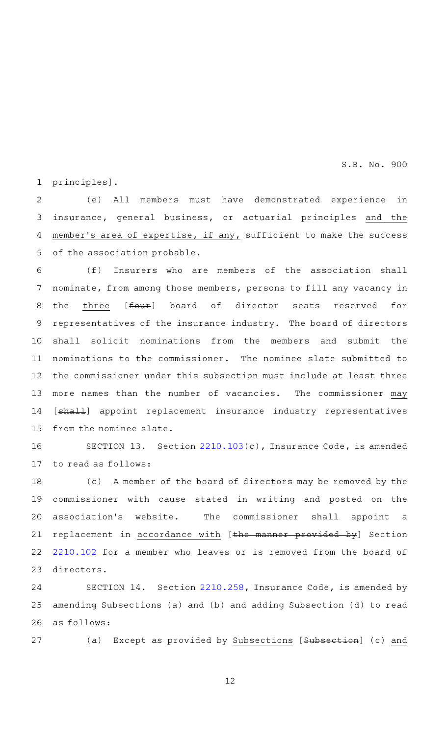principles]. 1

(e) All members must have demonstrated experience in insurance, general business, or actuarial principles and the member's area of expertise, if any, sufficient to make the success of the association probable. 2 3 4 5

(f) Insurers who are members of the association shall nominate, from among those members, persons to fill any vacancy in the three [four] board of director seats reserved for representatives of the insurance industry. The board of directors shall solicit nominations from the members and submit the nominations to the commissioner. The nominee slate submitted to the commissioner under this subsection must include at least three more names than the number of vacancies. The commissioner may [shall] appoint replacement insurance industry representatives from the nominee slate. 6 7 8 9 10 11 12 13 14 15

SECTION 13. Section  $2210.103(c)$  $2210.103(c)$ , Insurance Code, is amended to read as follows: 16 17

(c) A member of the board of directors may be removed by the commissioner with cause stated in writing and posted on the association 's website. The commissioner shall appoint a replacement in accordance with [the manner provided by] Section [2210.102](http://www.statutes.legis.state.tx.us/GetStatute.aspx?Code=IN&Value=2210.102&Date=5/29/2015) for a member who leaves or is removed from the board of directors. 18 19 20 21 22 23

SECTION 14. Section [2210.258](http://www.statutes.legis.state.tx.us/GetStatute.aspx?Code=IN&Value=2210.258&Date=5/29/2015), Insurance Code, is amended by amending Subsections (a) and (b) and adding Subsection (d) to read as follows: 24 25 26

27

(a) Except as provided by Subsections [Subsection] (c) and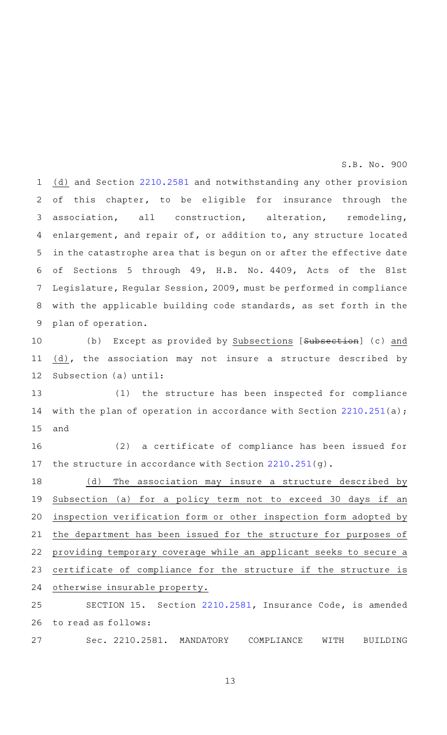(d) and Section [2210.2581](http://www.statutes.legis.state.tx.us/GetStatute.aspx?Code=IN&Value=2210.2581&Date=5/29/2015) and notwithstanding any other provision of this chapter, to be eligible for insurance through the association, all construction, alteration, remodeling, enlargement, and repair of, or addition to, any structure located in the catastrophe area that is begun on or after the effective date of Sections 5 through 49, H.B. No. 4409, Acts of the 81st Legislature, Regular Session, 2009, must be performed in compliance with the applicable building code standards, as set forth in the plan of operation. 1 2 3 4 5 6 7 8 9

(b) Except as provided by Subsections [Subsection] (c) and (d), the association may not insure a structure described by Subsection (a) until: 10 11 12

(1) the structure has been inspected for compliance with the plan of operation in accordance with Section [2210.251\(](http://www.statutes.legis.state.tx.us/GetStatute.aspx?Code=IN&Value=2210.251&Date=5/29/2015)a); and 13 14 15

(2) a certificate of compliance has been issued for the structure in accordance with Section [2210.251\(](http://www.statutes.legis.state.tx.us/GetStatute.aspx?Code=IN&Value=2210.251&Date=5/29/2015)g). 16 17

(d) The association may insure a structure described by Subsection (a) for a policy term not to exceed 30 days if an inspection verification form or other inspection form adopted by the department has been issued for the structure for purposes of providing temporary coverage while an applicant seeks to secure a certificate of compliance for the structure if the structure is otherwise insurable property. 18 19 20 21 22 23 24

SECTION 15. Section [2210.2581](http://www.statutes.legis.state.tx.us/GetStatute.aspx?Code=IN&Value=2210.2581&Date=5/29/2015), Insurance Code, is amended to read as follows: 25 26

Sec. 2210.2581. MANDATORY COMPLIANCE WITH BUILDING 27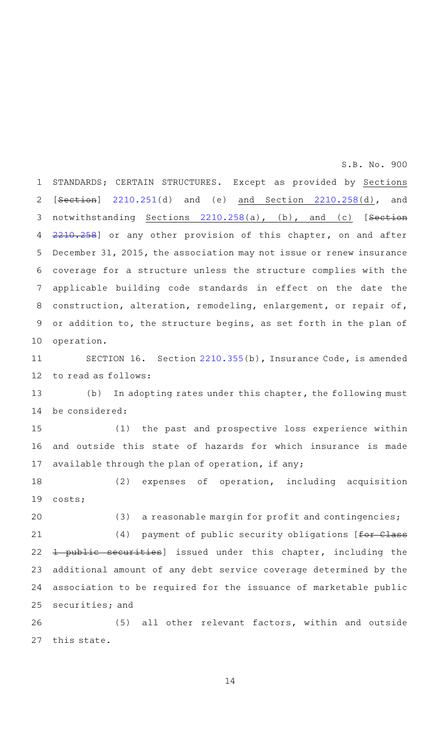STANDARDS; CERTAIN STRUCTURES. Except as provided by Sections [Section] [2210.251\(](http://www.statutes.legis.state.tx.us/GetStatute.aspx?Code=IN&Value=2210.251&Date=5/29/2015)d) and (e) and Section [2210.258\(](http://www.statutes.legis.state.tx.us/GetStatute.aspx?Code=IN&Value=2210.258&Date=5/29/2015)d), and notwithstanding Sections [2210.258\(](http://www.statutes.legis.state.tx.us/GetStatute.aspx?Code=IN&Value=2210.258&Date=5/29/2015)a), (b), and (c) [Section [2210.258](http://www.statutes.legis.state.tx.us/GetStatute.aspx?Code=IN&Value=2210.258&Date=5/29/2015)] or any other provision of this chapter, on and after December 31, 2015, the association may not issue or renew insurance coverage for a structure unless the structure complies with the applicable building code standards in effect on the date the construction, alteration, remodeling, enlargement, or repair of, or addition to, the structure begins, as set forth in the plan of operation. 1 2 3 4 5 6 7 8 9 10

SECTION 16. Section [2210.355\(](http://www.statutes.legis.state.tx.us/GetStatute.aspx?Code=IN&Value=2210.355&Date=5/29/2015)b), Insurance Code, is amended to read as follows: 11 12

(b) In adopting rates under this chapter, the following must be considered: 13 14

(1) the past and prospective loss experience within and outside this state of hazards for which insurance is made available through the plan of operation, if any; 15 16 17

(2) expenses of operation, including acquisition costs; 18 19

(3) a reasonable margin for profit and contingencies; (4) payment of public security obligations [ $f$ or Class 1 public securities] issued under this chapter, including the additional amount of any debt service coverage determined by the association to be required for the issuance of marketable public securities; and 20 21 22 23 24 25

(5) all other relevant factors, within and outside this state. 26 27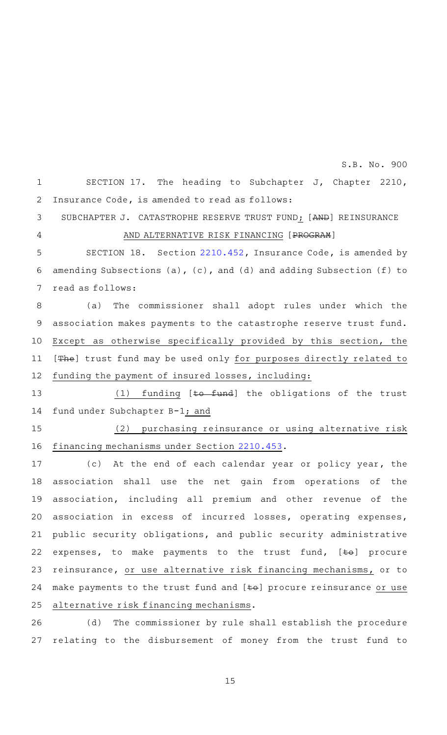SECTION 17. The heading to Subchapter J, Chapter 2210, Insurance Code, is amended to read as follows: 1 2 S.B. No. 900

SUBCHAPTER J. CATASTROPHE RESERVE TRUST FUND; [AND] REINSURANCE AND ALTERNATIVE RISK FINANCING [PROGRAM] 3

4

SECTION 18. Section [2210.452](http://www.statutes.legis.state.tx.us/GetStatute.aspx?Code=IN&Value=2210.452&Date=5/29/2015), Insurance Code, is amended by amending Subsections (a), (c), and (d) and adding Subsection (f) to read as follows: 5 6 7

(a) The commissioner shall adopt rules under which the association makes payments to the catastrophe reserve trust fund. Except as otherwise specifically provided by this section, the [The] trust fund may be used only for purposes directly related to funding the payment of insured losses, including: 8 9 10 11 12

 $(1)$  funding [to fund] the obligations of the trust fund under Subchapter B-1; and 13 14

(2) purchasing reinsurance or using alternative risk financing mechanisms under Section [2210.453.](http://www.statutes.legis.state.tx.us/GetStatute.aspx?Code=IN&Value=2210.453&Date=5/29/2015) 15 16

(c) At the end of each calendar year or policy year, the association shall use the net gain from operations of the association, including all premium and other revenue of the association in excess of incurred losses, operating expenses, public security obligations, and public security administrative expenses, to make payments to the trust fund,  $[\pm \Theta]$  procure reinsurance, or use alternative risk financing mechanisms, or to make payments to the trust fund and [to] procure reinsurance or use alternative risk financing mechanisms. 17 18 19 20 21 22 23 24 25

(d) The commissioner by rule shall establish the procedure relating to the disbursement of money from the trust fund to 26 27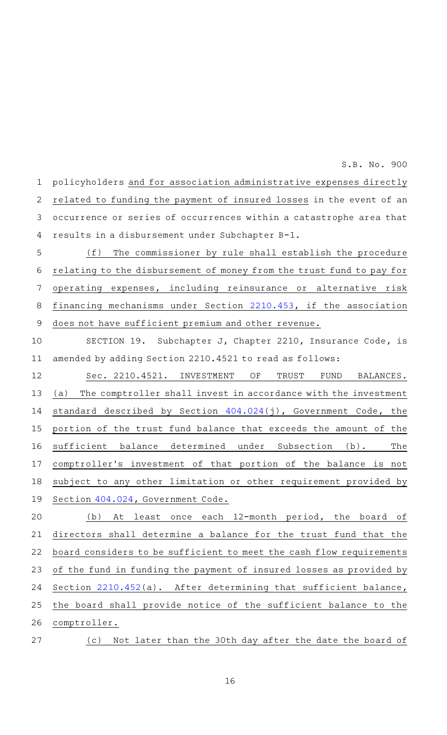policyholders and for association administrative expenses directly related to funding the payment of insured losses in the event of an occurrence or series of occurrences within a catastrophe area that results in a disbursement under Subchapter B-1. 1 2 3 4

(f) The commissioner by rule shall establish the procedure relating to the disbursement of money from the trust fund to pay for operating expenses, including reinsurance or alternative risk financing mechanisms under Section [2210.453,](http://www.statutes.legis.state.tx.us/GetStatute.aspx?Code=IN&Value=2210.453&Date=5/29/2015) if the association does not have sufficient premium and other revenue. 5 6 7 8 9

SECTION 19. Subchapter J, Chapter 2210, Insurance Code, is amended by adding Section 2210.4521 to read as follows: 10 11

Sec. 2210.4521. INVESTMENT OF TRUST FUND BALANCES. (a) The comptroller shall invest in accordance with the investment standard described by Section [404.024\(](http://www.statutes.legis.state.tx.us/GetStatute.aspx?Code=GV&Value=404.024&Date=5/29/2015)j), Government Code, the portion of the trust fund balance that exceeds the amount of the sufficient balance determined under Subsection (b). The comptroller's investment of that portion of the balance is not subject to any other limitation or other requirement provided by Section [404.024,](http://www.statutes.legis.state.tx.us/GetStatute.aspx?Code=GV&Value=404.024&Date=5/29/2015) Government Code. 12 13 14 15 16 17 18 19

(b) At least once each 12-month period, the board of directors shall determine a balance for the trust fund that the board considers to be sufficient to meet the cash flow requirements of the fund in funding the payment of insured losses as provided by Section [2210.452](http://www.statutes.legis.state.tx.us/GetStatute.aspx?Code=IN&Value=2210.452&Date=5/29/2015)(a). After determining that sufficient balance, the board shall provide notice of the sufficient balance to the comptroller. 20 21 22 23 24 25 26

(c) Not later than the 30th day after the date the board of 27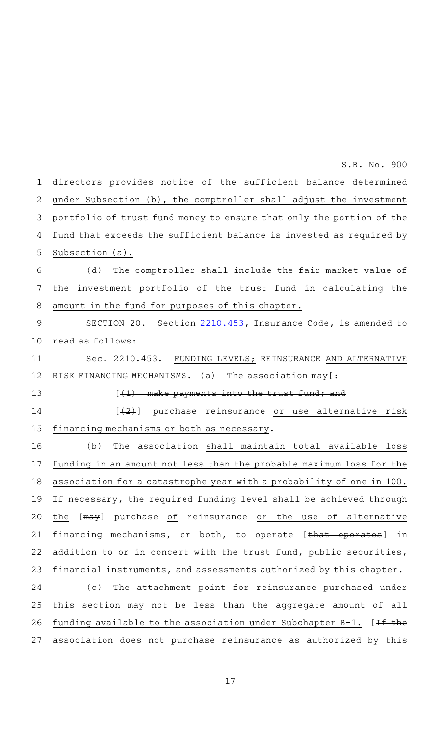directors provides notice of the sufficient balance determined under Subsection (b), the comptroller shall adjust the investment portfolio of trust fund money to ensure that only the portion of the fund that exceeds the sufficient balance is invested as required by Subsection (a). (d) The comptroller shall include the fair market value of the investment portfolio of the trust fund in calculating the amount in the fund for purposes of this chapter. SECTION 20. Section [2210.453](http://www.statutes.legis.state.tx.us/GetStatute.aspx?Code=IN&Value=2210.453&Date=5/29/2015), Insurance Code, is amended to read as follows: Sec. 2210.453. FUNDING LEVELS; REINSURANCE AND ALTERNATIVE RISK FINANCING MECHANISMS. (a) The association may  $[+$  $[-(1)$  make payments into the trust fund; and [(2)] purchase reinsurance or use alternative risk financing mechanisms or both as necessary. (b) The association shall maintain total available loss funding in an amount not less than the probable maximum loss for the association for a catastrophe year with a probability of one in 100. If necessary, the required funding level shall be achieved through the [may] purchase of reinsurance or the use of alternative financing mechanisms, or both, to operate [that operates] in addition to or in concert with the trust fund, public securities, financial instruments, and assessments authorized by this chapter. (c) The attachment point for reinsurance purchased under this section may not be less than the aggregate amount of all funding available to the association under Subchapter B-1.  $[If the$ association does not purchase reinsurance as authorized by this 1 2 3 4 5 6 7 8 9 10 11 12 13 14 15 16 17 18 19 20 21 22 23 24 25 26 27

S.B. No. 900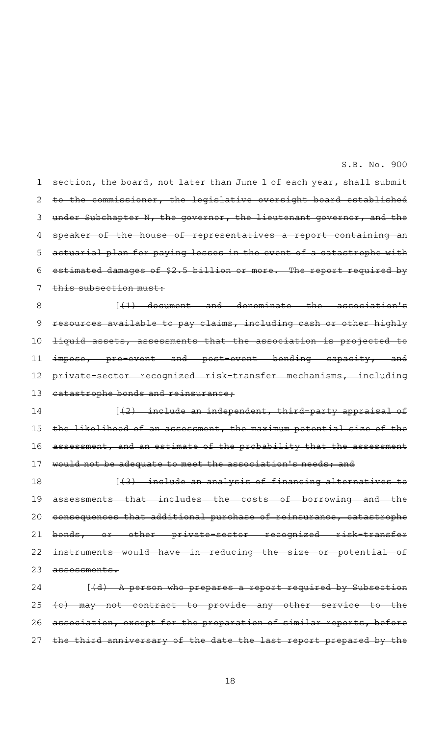section, the board, not later than June 1 of each year, shall submit to the commissioner, the legislative oversight board established under Subchapter N, the governor, the lieutenant governor, and the speaker of the house of representatives a report containing an actuarial plan for paying losses in the event of a catastrophe with estimated damages of \$2.5 billion or more. The report required by this subsection must:  $[$   $(1)$  document and denominate the association's resources available to pay claims, including cash or other highly liquid assets, assessments that the association is projected to impose, pre-event and post-event bonding capacity, and private-sector recognized risk-transfer mechanisms, including catastrophe bonds and reinsurance,  $[42)$  include an independent, third-party appraisal of the likelihood of an assessment, the maximum potential size of the 1 2 3 4 5 6 7 8 9 10 11 12 13 14 15

assessment, and an estimate of the probability that the assessment would not be adequate to meet the association's needs; and 16 17

 $[43)$  include an analysis of financing alternatives assessments that includes the costs of borrowing and the consequences that additional purchase of reinsurance, catastrophe bonds, or other private-sector recognized risk-transfer instruments would have in reducing the size or potential assessments. 18 19 20 21 22 23

 $[$   $(d)$   $-$  A person who prepares a report required by Subsection (c) may not contract to provide any other service to the association, except for the preparation of similar reports, before the third anniversary of the date the last report prepared by the 24 25 26 27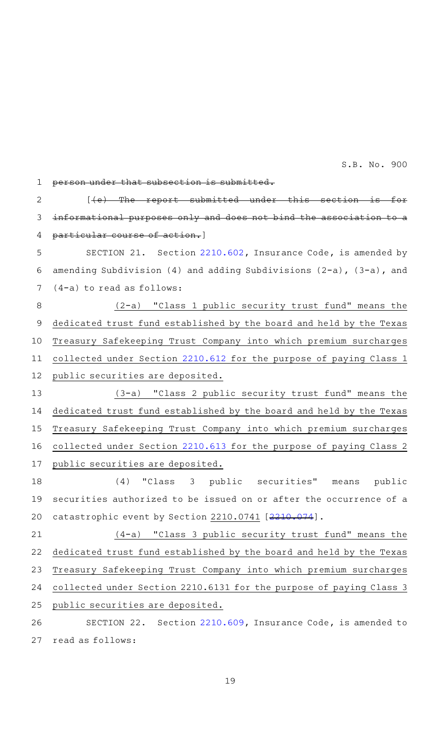that subsection is submitted.  $[$  (e) The report submitted under this section informational purposes only and does not bind the association to particular course of action.] SECTION 21. Section [2210.602](http://www.statutes.legis.state.tx.us/GetStatute.aspx?Code=IN&Value=2210.602&Date=5/29/2015), Insurance Code, is amended by amending Subdivision (4) and adding Subdivisions  $(2-a)$ ,  $(3-a)$ , and (4-a) to read as follows:  $(2-a)$  "Class 1 public security trust fund" means the dedicated trust fund established by the board and held by the Texas Treasury Safekeeping Trust Company into which premium surcharges collected under Section [2210.612](http://www.statutes.legis.state.tx.us/GetStatute.aspx?Code=IN&Value=2210.612&Date=5/29/2015) for the purpose of paying Class 1 public securities are deposited. (3-a) "Class 2 public security trust fund" means the dedicated trust fund established by the board and held by the Texas Treasury Safekeeping Trust Company into which premium surcharges collected under Section [2210.613](http://www.statutes.legis.state.tx.us/GetStatute.aspx?Code=IN&Value=2210.613&Date=5/29/2015) for the purpose of paying Class 2 public securities are deposited. (4) "Class 3 public securities" means public securities authorized to be issued on or after the occurrence of a catastrophic event by Section [2210.074](http://www.statutes.legis.state.tx.us/GetStatute.aspx?Code=IN&Value=2210.074&Date=5/29/2015)1 [2210.074].  $(4-a)$  "Class 3 public security trust fund" means the dedicated trust fund established by the board and held by the Texas Treasury Safekeeping Trust Company into which premium surcharges collected under Section 2210.6131 for the purpose of paying Class 3 public securities are deposited. SECTION 22. Section [2210.609](http://www.statutes.legis.state.tx.us/GetStatute.aspx?Code=IN&Value=2210.609&Date=5/29/2015), Insurance Code, is amended to read as follows: 1 2 3 4 5 6 7 8 9 10 11 12 13 14 15 16 17 18 19 20 21 22 23 24 25 26 27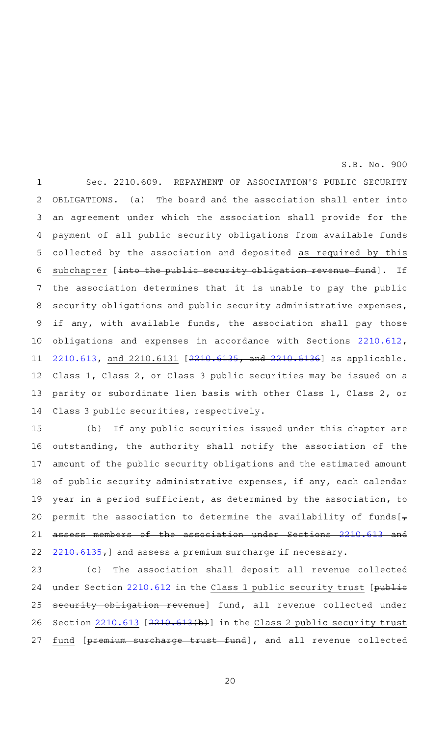Sec. 2210.609. REPAYMENT OF ASSOCIATION'S PUBLIC SECURITY OBLIGATIONS. (a) The board and the association shall enter into an agreement under which the association shall provide for the payment of all public security obligations from available funds collected by the association and deposited as required by this subchapter [into the public security obligation revenue fund]. If the association determines that it is unable to pay the public security obligations and public security administrative expenses, if any, with available funds, the association shall pay those obligations and expenses in accordance with Sections [2210.612](http://www.statutes.legis.state.tx.us/GetStatute.aspx?Code=IN&Value=2210.612&Date=5/29/2015), [2210.613](http://www.statutes.legis.state.tx.us/GetStatute.aspx?Code=IN&Value=2210.613&Date=5/29/2015), and 2210.6131 [[2210.6135,](http://www.statutes.legis.state.tx.us/GetStatute.aspx?Code=IN&Value=2210.6135&Date=5/29/2015) and [2210.6136\]](http://www.statutes.legis.state.tx.us/GetStatute.aspx?Code=IN&Value=2210.6136&Date=5/29/2015) as applicable. Class 1, Class 2, or Class 3 public securities may be issued on a parity or subordinate lien basis with other Class 1, Class 2, or Class 3 public securities, respectively. 1 2 3 4 5 6 7 8 9 10 11 12 13 14

(b) If any public securities issued under this chapter are outstanding, the authority shall notify the association of the amount of the public security obligations and the estimated amount of public security administrative expenses, if any, each calendar year in a period sufficient, as determined by the association, to permit the association to determine the availability of funds  $\mathbf{z}$ assess members of the association under Sections [2210.613](http://www.statutes.legis.state.tx.us/GetStatute.aspx?Code=IN&Value=2210.613&Date=5/29/2015) and [2210.6135,](http://www.statutes.legis.state.tx.us/GetStatute.aspx?Code=IN&Value=2210.6135&Date=5/29/2015)] and assess a premium surcharge if necessary. 15 16 17 18 19 20 21 22

(c) The association shall deposit all revenue collected under Section [2210.612](http://www.statutes.legis.state.tx.us/GetStatute.aspx?Code=IN&Value=2210.612&Date=5/29/2015) in the Class 1 public security trust [public security obligation revenue] fund, all revenue collected under Section [2210.613](http://www.statutes.legis.state.tx.us/GetStatute.aspx?Code=IN&Value=2210.613&Date=5/29/2015) [\[2210.613\(](http://www.statutes.legis.state.tx.us/GetStatute.aspx?Code=IN&Value=2210.613&Date=5/29/2015)b)] in the Class 2 public security trust fund [premium surcharge trust fund], and all revenue collected 23 24 25 26 27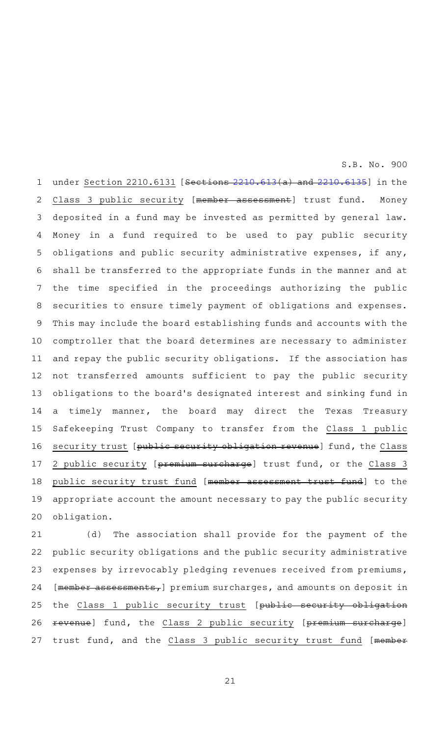under Section [2210.613](http://www.statutes.legis.state.tx.us/GetStatute.aspx?Code=IN&Value=2210.613&Date=5/29/2015)1 [Sections 2210.613(a) and [2210.6135\]](http://www.statutes.legis.state.tx.us/GetStatute.aspx?Code=IN&Value=2210.6135&Date=5/29/2015) in the Class 3 public security [member assessment] trust fund. Money deposited in a fund may be invested as permitted by general law. Money in a fund required to be used to pay public security obligations and public security administrative expenses, if any, shall be transferred to the appropriate funds in the manner and at the time specified in the proceedings authorizing the public securities to ensure timely payment of obligations and expenses. This may include the board establishing funds and accounts with the comptroller that the board determines are necessary to administer and repay the public security obligations. If the association has not transferred amounts sufficient to pay the public security obligations to the board's designated interest and sinking fund in a timely manner, the board may direct the Texas Treasury Safekeeping Trust Company to transfer from the Class 1 public security trust [public security obligation revenue] fund, the Class 2 public security [premium surcharge] trust fund, or the Class 3 public security trust fund [member assessment trust fund] to the appropriate account the amount necessary to pay the public security obligation. 1 2 3 4 5 6 7 8 9 10 11 12 13 14 15 16 17 18 19 20

(d) The association shall provide for the payment of the public security obligations and the public security administrative expenses by irrevocably pledging revenues received from premiums,  $[$ member assessments, premium surcharges, and amounts on deposit in the Class 1 public security trust [public security obligation revenue] fund, the Class 2 public security [premium surcharge] trust fund, and the Class 3 public security trust fund [member 21 22 23 24 25 26 27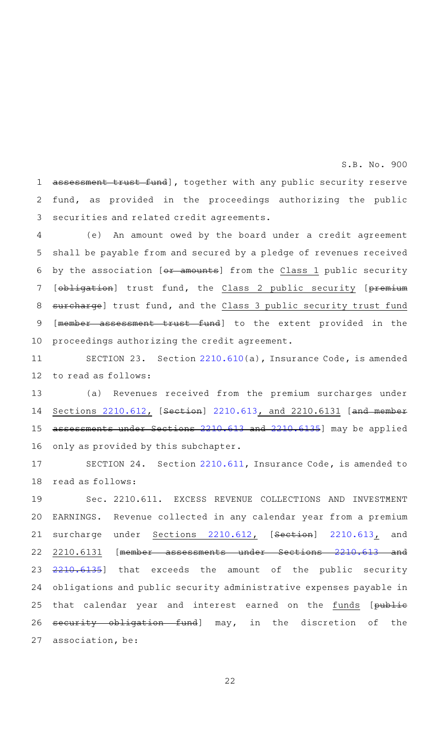assessment trust fund], together with any public security reserve fund, as provided in the proceedings authorizing the public securities and related credit agreements. 1 2 3

S.B. No. 900

(e) An amount owed by the board under a credit agreement shall be payable from and secured by a pledge of revenues received by the association [ $\leftrightarrow$  amounts] from the Class 1 public security [obligation] trust fund, the Class 2 public security [premium surcharge] trust fund, and the Class 3 public security trust fund [member assessment trust fund] to the extent provided in the proceedings authorizing the credit agreement. 4 5 6 7 8 9 10

SECTION 23. Section [2210.610\(](http://www.statutes.legis.state.tx.us/GetStatute.aspx?Code=IN&Value=2210.610&Date=5/29/2015)a), Insurance Code, is amended to read as follows: 11 12

(a) Revenues received from the premium surcharges under Sections [2210.612,](http://www.statutes.legis.state.tx.us/GetStatute.aspx?Code=IN&Value=2210.612&Date=5/29/2015) [Section] [2210.613,](http://www.statutes.legis.state.tx.us/GetStatute.aspx?Code=IN&Value=2210.613&Date=5/29/2015) and 2210.6131 [and member assessments under Sections [2210.613](http://www.statutes.legis.state.tx.us/GetStatute.aspx?Code=IN&Value=2210.613&Date=5/29/2015) and [2210.6135\]](http://www.statutes.legis.state.tx.us/GetStatute.aspx?Code=IN&Value=2210.6135&Date=5/29/2015) may be applied only as provided by this subchapter. 13 14 15 16

SECTION 24. Section [2210.611](http://www.statutes.legis.state.tx.us/GetStatute.aspx?Code=IN&Value=2210.611&Date=5/29/2015), Insurance Code, is amended to read as follows: 17 18

Sec. 2210.611. EXCESS REVENUE COLLECTIONS AND INVESTMENT EARNINGS. Revenue collected in any calendar year from a premium surcharge under Sections [2210.612](http://www.statutes.legis.state.tx.us/GetStatute.aspx?Code=IN&Value=2210.612&Date=5/29/2015), [Section] [2210.613](http://www.statutes.legis.state.tx.us/GetStatute.aspx?Code=IN&Value=2210.613&Date=5/29/2015), and 2210.6131 [member assessments under Sections [2210.613](http://www.statutes.legis.state.tx.us/GetStatute.aspx?Code=IN&Value=2210.613&Date=5/29/2015) and [2210.6135\]](http://www.statutes.legis.state.tx.us/GetStatute.aspx?Code=IN&Value=2210.6135&Date=5/29/2015) that exceeds the amount of the public security obligations and public security administrative expenses payable in that calendar year and interest earned on the funds [publie security obligation fund] may, in the discretion of the association, be: 19 20 21 22 23 24 25 26 27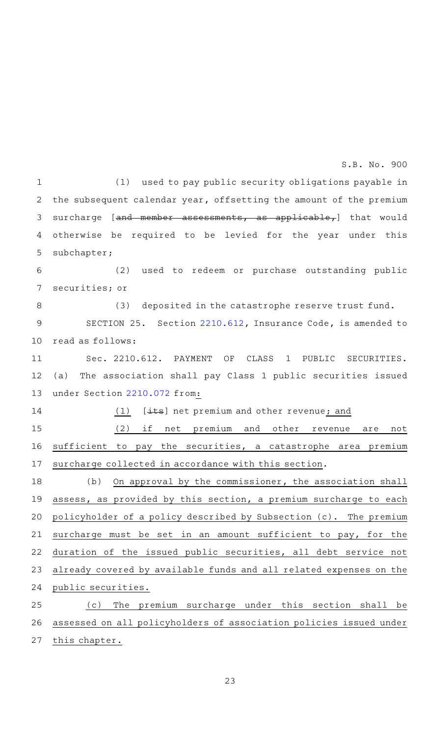(1) used to pay public security obligations payable in the subsequent calendar year, offsetting the amount of the premium surcharge [and member assessments, as applicable,] that would otherwise be required to be levied for the year under this subchapter; 1 2 3 4 5

(2) used to redeem or purchase outstanding public securities; or 6 7

(3) deposited in the catastrophe reserve trust fund. 8

SECTION 25. Section [2210.612](http://www.statutes.legis.state.tx.us/GetStatute.aspx?Code=IN&Value=2210.612&Date=5/29/2015), Insurance Code, is amended to read as follows: 9 10

Sec. 2210.612. PAYMENT OF CLASS 1 PUBLIC SECURITIES. (a) The association shall pay Class 1 public securities issued under Section [2210.072](http://www.statutes.legis.state.tx.us/GetStatute.aspx?Code=IN&Value=2210.072&Date=5/29/2015) from: 11 12 13

(1)  $[\pm \text{ts}]$  net premium and other revenue; and

14

(2) if net premium and other revenue are not sufficient to pay the securities, a catastrophe area premium surcharge collected in accordance with this section. 15 16 17

 $(b)$  On approval by the commissioner, the association shall assess, as provided by this section, a premium surcharge to each policyholder of a policy described by Subsection (c). The premium surcharge must be set in an amount sufficient to pay, for the duration of the issued public securities, all debt service not already covered by available funds and all related expenses on the public securities. 18 19 20 21 22 23 24

(c) The premium surcharge under this section shall be assessed on all policyholders of association policies issued under this chapter. 25 26 27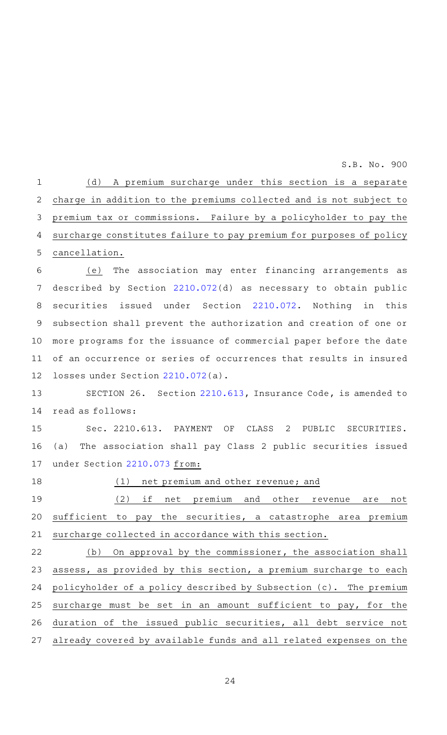(d) A premium surcharge under this section is a separate charge in addition to the premiums collected and is not subject to premium tax or commissions. Failure by a policyholder to pay the surcharge constitutes failure to pay premium for purposes of policy cancellation. (e) The association may enter financing arrangements as described by Section [2210.072\(](http://www.statutes.legis.state.tx.us/GetStatute.aspx?Code=IN&Value=2210.072&Date=5/29/2015)d) as necessary to obtain public securities issued under Section [2210.072](http://www.statutes.legis.state.tx.us/GetStatute.aspx?Code=IN&Value=2210.072&Date=5/29/2015). Nothing in this subsection shall prevent the authorization and creation of one or more programs for the issuance of commercial paper before the date of an occurrence or series of occurrences that results in insured losses under Section [2210.072](http://www.statutes.legis.state.tx.us/GetStatute.aspx?Code=IN&Value=2210.072&Date=5/29/2015)(a). SECTION 26. Section [2210.613](http://www.statutes.legis.state.tx.us/GetStatute.aspx?Code=IN&Value=2210.613&Date=5/29/2015), Insurance Code, is amended to read as follows: Sec. 2210.613. PAYMENT OF CLASS 2 PUBLIC SECURITIES. (a) The association shall pay Class 2 public securities issued under Section [2210.073](http://www.statutes.legis.state.tx.us/GetStatute.aspx?Code=IN&Value=2210.073&Date=5/29/2015) from: (1) net premium and other revenue; and (2) if net premium and other revenue are not sufficient to pay the securities, a catastrophe area premium surcharge collected in accordance with this section. (b) On approval by the commissioner, the association shall assess, as provided by this section, a premium surcharge to each policyholder of a policy described by Subsection (c). The premium surcharge must be set in an amount sufficient to pay, for the duration of the issued public securities, all debt service not 1 2 3 4 5 6 7 8 9 10 11 12 13 14 15 16 17 18 19 20 21 22 23 24 25 26

already covered by available funds and all related expenses on the 27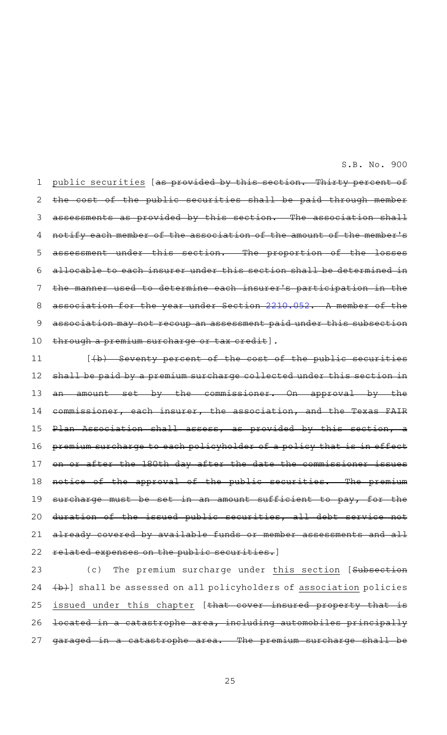public securities [as provided by this section. Thirty percent of the cost of the public securities shall be paid through member assessments as provided by this section. The association shall notify each member of the association of the amount of the member 's assessment under this section. The proportion of the allocable to each insurer under this section shall be determined in used to determine each insurer's participation in  $\frac{1}{\sqrt{2}}$  sociation for the year under Section [2210.052](http://www.statutes.legis.state.tx.us/GetStatute.aspx?Code=IN&Value=2210.052&Date=5/29/2015). A member of association may not recoup an assessment paid under this subsection through a premium surcharge or tax credit]. 1 2 3 4 5 6 7 8 9 10

[(b) Seventy percent of the cost of the public securities shall be paid by a premium surcharge collected under this section amount set by the commissioner. On approval by the commissioner, each insurer, the association, and the Texas FAIR Plan Association shall assess, as provided by this section, premium surcharge to each policyholder of a policy that is in effect after the 180th day after the date the commissioner the approval of the public securities. The surcharge must be set in an amount sufficient to pay, for the duration of the issued public securities, all debt service already covered by available funds or member assessments and all related expenses on the public securities.] 11 12 13 14 15 16 17 18 19 20 21 22

(c) The premium surcharge under this section [Subsection (b)] shall be assessed on all policyholders of association policies issued under this chapter [that cover insured property that located in a catastrophe area, including automobiles principally garaged in a catastrophe area. The premium surcharge shall 23 24 25 26 27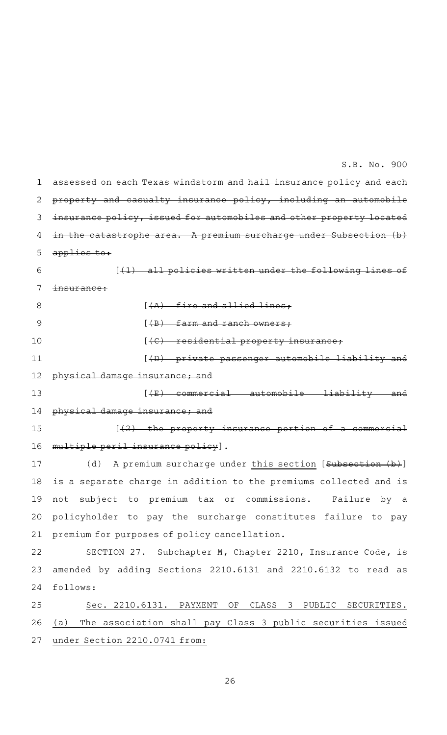| 1. | assessed on each Texas windstorm and hail insurance policy and each       |
|----|---------------------------------------------------------------------------|
| 2  | property and casualty insurance policy, including an automobile           |
| 3  | insurance policy, issued for automobiles and other property located       |
| 4  | catastrophe area. A premium surcharge under Subsection $(b)$              |
| 5  | applies to:                                                               |
| 6  | policies written under the following<br>[ <del>(1) all</del>              |
| 7  | <del>insurance:</del>                                                     |
| 8  | $(A)$ fire and allied lines:                                              |
| 9  | $[$ $($ B $)$ farm and ranch owners;                                      |
| 10 | $[4C]$ residential property insurance;                                    |
| 11 | $(\theta)$ private passenger automobile liability and                     |
| 12 | physical damage insurance; and                                            |
| 13 | <u> {E} commercial automobile liability and </u>                          |
| 14 | physical damage insurance; and                                            |
| 15 | $\left[\frac{1}{2}\right]$ the property insurance portion of a commercial |
| 16 | multiple peril insurance policy].                                         |
| 17 | A premium surcharge under this section [Subsection (b)]<br>(d)            |
| 18 | is a separate charge in addition to the premiums collected and is         |
|    | 19 not subject to premium tax or commissions. Failure by a                |
| 20 | policyholder to pay the surcharge constitutes failure to pay              |
| 21 | premium for purposes of policy cancellation.                              |
| 22 | SECTION 27. Subchapter M, Chapter 2210, Insurance Code, is                |
| 23 | amended by adding Sections 2210.6131 and 2210.6132 to read as             |
| 24 | follows:                                                                  |
| 25 | Sec. 2210.6131. PAYMENT OF CLASS 3 PUBLIC SECURITIES.                     |
| 26 | The association shall pay Class 3 public securities issued<br>(a)         |
| 27 | under Section 2210.0741 from:                                             |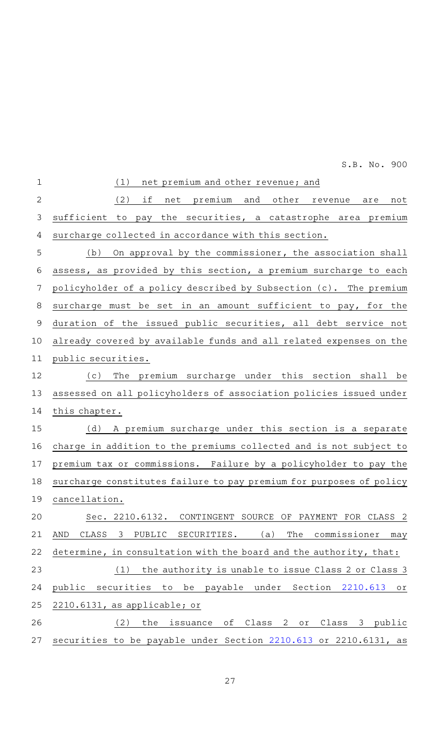| $\mathbf 1$  | net premium and other revenue; and<br>(1)                                       |
|--------------|---------------------------------------------------------------------------------|
| $\mathbf{2}$ | (2)<br>if<br>net premium and<br>other<br>not<br>revenue<br>are                  |
| 3            | sufficient to pay the securities, a catastrophe area premium                    |
| 4            | surcharge collected in accordance with this section.                            |
| 5            | On approval by the commissioner, the association shall<br>(b)                   |
| 6            | assess, as provided by this section, a premium surcharge to each                |
| 7            | policyholder of a policy described by Subsection (c). The premium               |
| 8            | surcharge must be set in an amount sufficient to pay, for the                   |
| $\mathsf 9$  | duration of the issued public securities, all debt service not                  |
| 10           | already covered by available funds and all related expenses on the              |
| 11           | public securities.                                                              |
| 12           | The premium surcharge under this section shall be<br>(c)                        |
| 13           | assessed on all policyholders of association policies issued under              |
| 14           | this chapter.                                                                   |
| 15           | A premium surcharge under this section is a separate<br>(d)                     |
| 16           | charge in addition to the premiums collected and is not subject to              |
| 17           | premium tax or commissions. Failure by a policyholder to pay the                |
| 18           | surcharge constitutes failure to pay premium for purposes of policy             |
| 19           | cancellation.                                                                   |
| 20           | Sec. 2210.6132.<br>CONTINGENT SOURCE OF PAYMENT FOR CLASS 2                     |
| 21           | CLASS<br>PUBLIC<br>SECURITIES.<br>(a)<br>The<br>commissioner<br>AND<br>3<br>may |
| 22           | determine, in consultation with the board and the authority, that:              |
| 23           | the authority is unable to issue Class 2 or Class 3<br>(1)                      |
| 24           | public securities to be payable under Section 2210.613<br>Оľ                    |
| 25           | 2210.6131, as applicable; or                                                    |
| 26           | the issuance of Class 2 or Class 3 public<br>(2)                                |
| 27           | securities to be payable under Section 2210.613 or 2210.6131, as                |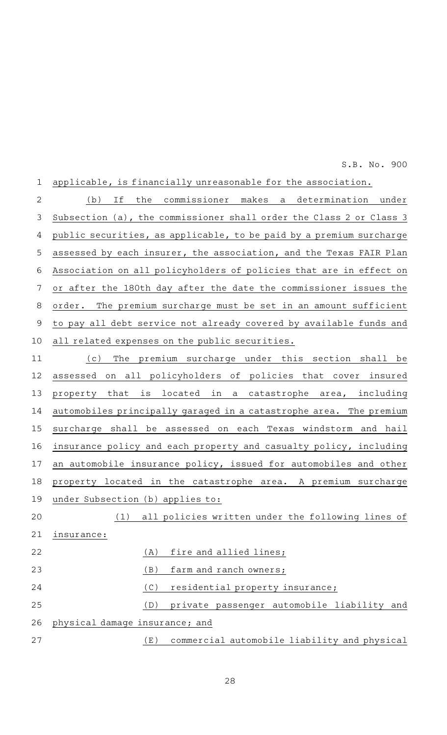applicable, is financially unreasonable for the association. (b) If the commissioner makes a determination under Subsection (a), the commissioner shall order the Class 2 or Class 3 public securities, as applicable, to be paid by a premium surcharge assessed by each insurer, the association, and the Texas FAIR Plan Association on all policyholders of policies that are in effect on or after the 180th day after the date the commissioner issues the order. The premium surcharge must be set in an amount sufficient to pay all debt service not already covered by available funds and all related expenses on the public securities. (c) The premium surcharge under this section shall be 1 2 3 4 5 6 7 8 9 10 11

assessed on all policyholders of policies that cover insured property that is located in a catastrophe area, including automobiles principally garaged in a catastrophe area. The premium surcharge shall be assessed on each Texas windstorm and hail insurance policy and each property and casualty policy, including an automobile insurance policy, issued for automobiles and other property located in the catastrophe area. A premium surcharge under Subsection (b) applies to: 12 13 14 15 16 17 18 19

(1) all policies written under the following lines of insurance: (A) fire and allied lines;  $(B)$  farm and ranch owners;  $(C)$  residential property insurance; 20 21 22 23 24

(D) private passenger automobile liability and physical damage insurance; and (E) commercial automobile liability and physical 25 26 27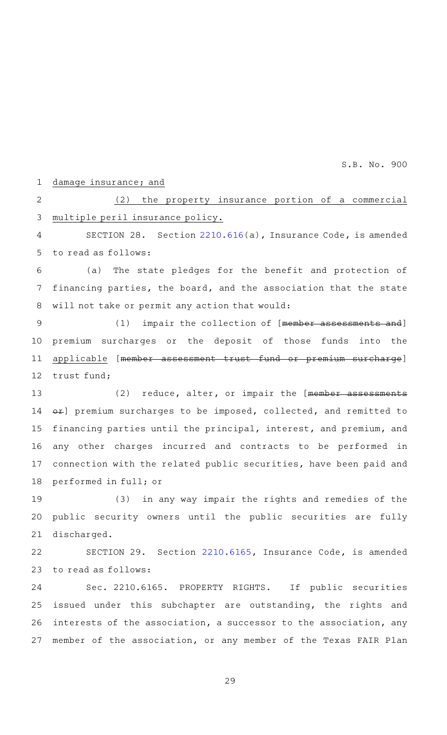#### damage insurance; and 1

 $(2)$  the property insurance portion of a commercial multiple peril insurance policy. 2 3

SECTION 28. Section  $2210.616(a)$  $2210.616(a)$ , Insurance Code, is amended to read as follows: 4 5

(a) The state pledges for the benefit and protection of financing parties, the board, and the association that the state will not take or permit any action that would: 6 7 8

(1) impair the collection of [member assessments and] premium surcharges or the deposit of those funds into the applicable [member assessment trust fund or premium surcharge] trust fund; 9 10 11 12

(2) reduce, alter, or impair the [member assessments  $er$ ] premium surcharges to be imposed, collected, and remitted to financing parties until the principal, interest, and premium, and any other charges incurred and contracts to be performed in connection with the related public securities, have been paid and performed in full; or 13 14 15 16 17 18

(3) in any way impair the rights and remedies of the public security owners until the public securities are fully discharged. 19 20 21

SECTION 29. Section [2210.6165](http://www.statutes.legis.state.tx.us/GetStatute.aspx?Code=IN&Value=2210.6165&Date=5/29/2015), Insurance Code, is amended to read as follows: 22 23

Sec. 2210.6165. PROPERTY RIGHTS. If public securities issued under this subchapter are outstanding, the rights and interests of the association, a successor to the association, any member of the association, or any member of the Texas FAIR Plan 24 25 26 27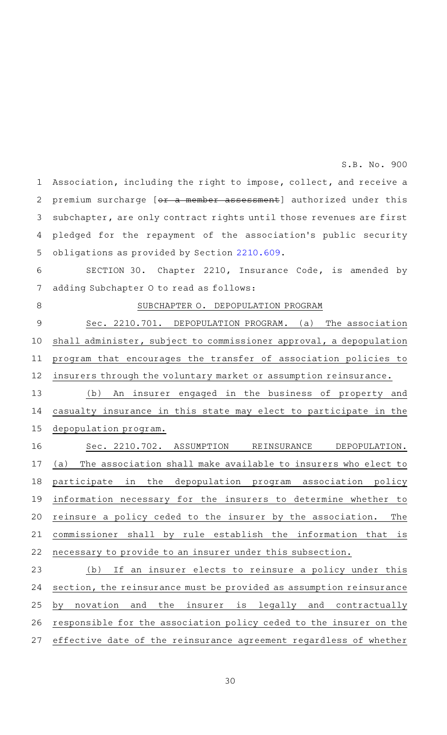Association, including the right to impose, collect, and receive a premium surcharge [or a member assessment] authorized under this subchapter, are only contract rights until those revenues are first pledged for the repayment of the association's public security obligations as provided by Section [2210.609.](http://www.statutes.legis.state.tx.us/GetStatute.aspx?Code=IN&Value=2210.609&Date=5/29/2015) 1 2 3 4 5

SECTION 30. Chapter 2210, Insurance Code, is amended by adding Subchapter O to read as follows: 6 7

8

#### SUBCHAPTER O. DEPOPULATION PROGRAM

Sec. 2210.701. DEPOPULATION PROGRAM. (a) The association shall administer, subject to commissioner approval, a depopulation program that encourages the transfer of association policies to insurers through the voluntary market or assumption reinsurance. 9 10 11 12

(b) An insurer engaged in the business of property and casualty insurance in this state may elect to participate in the depopulation program. 13 14 15

Sec. 2210.702. ASSUMPTION REINSURANCE DEPOPULATION. (a) The association shall make available to insurers who elect to participate in the depopulation program association policy information necessary for the insurers to determine whether to reinsure a policy ceded to the insurer by the association. The commissioner shall by rule establish the information that is necessary to provide to an insurer under this subsection. 16 17 18 19 20 21 22

(b) If an insurer elects to reinsure a policy under this section, the reinsurance must be provided as assumption reinsurance by novation and the insurer is legally and contractually responsible for the association policy ceded to the insurer on the effective date of the reinsurance agreement regardless of whether 23 24 25 26 27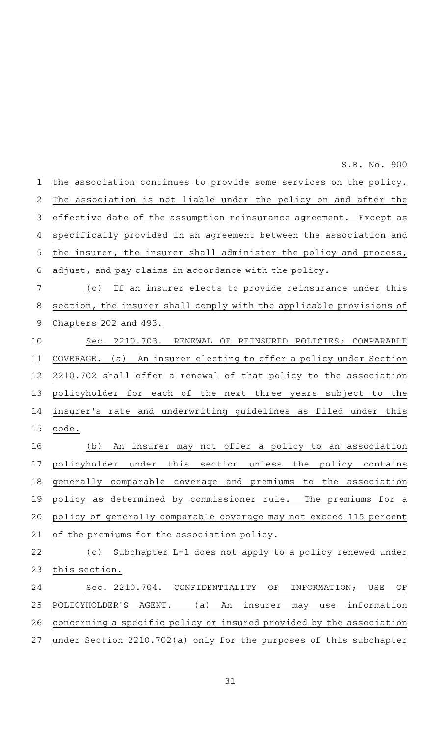the association continues to provide some services on the policy. The association is not liable under the policy on and after the effective date of the assumption reinsurance agreement. Except as specifically provided in an agreement between the association and the insurer, the insurer shall administer the policy and process, adjust, and pay claims in accordance with the policy. (c) If an insurer elects to provide reinsurance under this section, the insurer shall comply with the applicable provisions of Chapters 202 and 493. Sec. 2210.703. RENEWAL OF REINSURED POLICIES; COMPARABLE COVERAGE. (a) An insurer electing to offer a policy under Section 2210.702 shall offer a renewal of that policy to the association policyholder for each of the next three years subject to the insurer 's rate and underwriting guidelines as filed under this code. (b) An insurer may not offer a policy to an association policyholder under this section unless the policy contains generally comparable coverage and premiums to the association policy as determined by commissioner rule. The premiums for a policy of generally comparable coverage may not exceed 115 percent of the premiums for the association policy. (c) Subchapter L-1 does not apply to a policy renewed under this section. Sec. 2210.704. CONFIDENTIALITY OF INFORMATION; USE OF POLICYHOLDER'S AGENT. (a) An insurer may use information concerning a specific policy or insured provided by the association under Section 2210.702(a) only for the purposes of this subchapter 1 2 3 4 5 6 7 8 9 10 11 12 13 14 15 16 17 18 19 20 21 22 23 24 25 26 27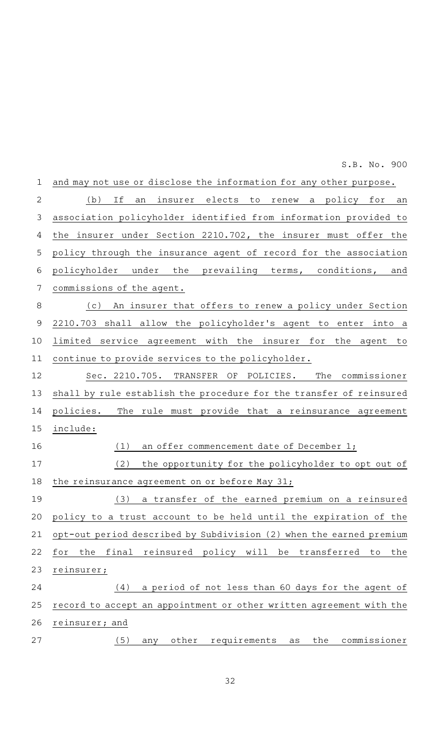and may not use or disclose the information for any other purpose. (b) If an insurer elects to renew a policy for an association policyholder identified from information provided to the insurer under Section 2210.702, the insurer must offer the policy through the insurance agent of record for the association policyholder under the prevailing terms, conditions, and commissions of the agent. (c) An insurer that offers to renew a policy under Section 2210.703 shall allow the policyholder 's agent to enter into a limited service agreement with the insurer for the agent to continue to provide services to the policyholder. Sec. 2210.705. TRANSFER OF POLICIES. The commissioner shall by rule establish the procedure for the transfer of reinsured policies. The rule must provide that a reinsurance agreement include: (1) an offer commencement date of December 1; (2) the opportunity for the policyholder to opt out of the reinsurance agreement on or before May 31; (3) a transfer of the earned premium on a reinsured policy to a trust account to be held until the expiration of the opt-out period described by Subdivision (2) when the earned premium for the final reinsured policy will be transferred to the reinsurer;  $(4)$  a period of not less than 60 days for the agent of record to accept an appointment or other written agreement with the reinsurer; and (5) any other requirements as the commissioner 1 2 3 4 5 6 7 8 9 10 11 12 13 14 15 16 17 18 19 20 21 22 23 24 25 26 27

S.B. No. 900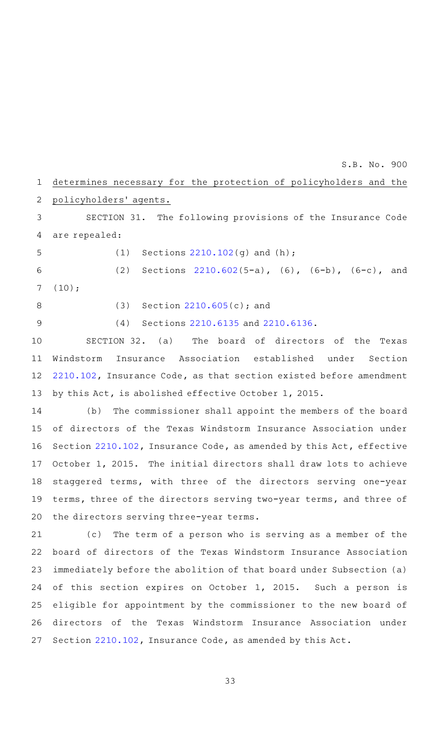#### determines necessary for the protection of policyholders and the policyholders' agents. 1 2

SECTION 31. The following provisions of the Insurance Code are repealed: 3 4

(1) Sections  $2210.102(q)$  $2210.102(q)$  and  $(h)$ ; 5

6

(2) Sections  $2210.602(5-a)$  $2210.602(5-a)$ , (6), (6-b), (6-c), and (10); 7

8

9

(4) Sections [2210.6135](http://www.statutes.legis.state.tx.us/GetStatute.aspx?Code=IN&Value=2210.6135&Date=5/29/2015) and [2210.6136](http://www.statutes.legis.state.tx.us/GetStatute.aspx?Code=IN&Value=2210.6136&Date=5/29/2015).

(3) Section  $2210.605(c)$  $2210.605(c)$ ; and

SECTION 32. (a) The board of directors of the Texas Windstorm Insurance Association established under Section [2210.102](http://www.statutes.legis.state.tx.us/GetStatute.aspx?Code=IN&Value=2210.102&Date=5/29/2015), Insurance Code, as that section existed before amendment by this Act, is abolished effective October 1, 2015. 10 11 12 13

(b) The commissioner shall appoint the members of the board of directors of the Texas Windstorm Insurance Association under Section [2210.102,](http://www.statutes.legis.state.tx.us/GetStatute.aspx?Code=IN&Value=2210.102&Date=5/29/2015) Insurance Code, as amended by this Act, effective October 1, 2015. The initial directors shall draw lots to achieve staggered terms, with three of the directors serving one-year terms, three of the directors serving two-year terms, and three of the directors serving three-year terms. 14 15 16 17 18 19 20

(c) The term of a person who is serving as a member of the board of directors of the Texas Windstorm Insurance Association immediately before the abolition of that board under Subsection (a) of this section expires on October 1, 2015. Such a person is eligible for appointment by the commissioner to the new board of directors of the Texas Windstorm Insurance Association under Section [2210.102](http://www.statutes.legis.state.tx.us/GetStatute.aspx?Code=IN&Value=2210.102&Date=5/29/2015), Insurance Code, as amended by this Act. 21 22 23 24 25 26 27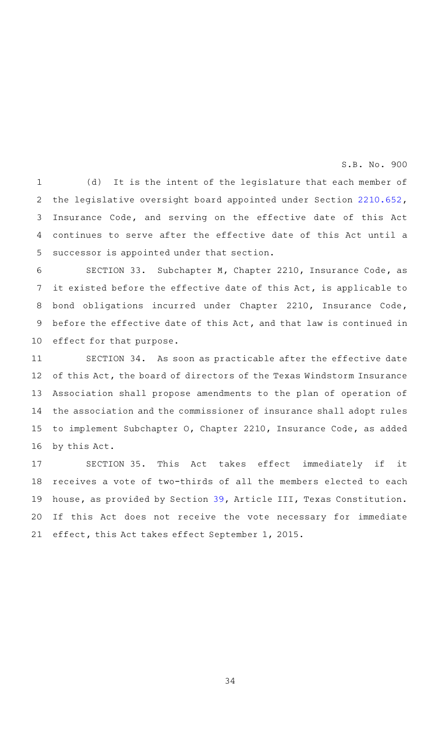(d) It is the intent of the legislature that each member of the legislative oversight board appointed under Section [2210.652](http://www.statutes.legis.state.tx.us/GetStatute.aspx?Code=IN&Value=2210.652&Date=5/29/2015), Insurance Code, and serving on the effective date of this Act continues to serve after the effective date of this Act until a successor is appointed under that section. 1 2 3 4 5

SECTION 33. Subchapter M, Chapter 2210, Insurance Code, as it existed before the effective date of this Act, is applicable to bond obligations incurred under Chapter 2210, Insurance Code, before the effective date of this Act, and that law is continued in effect for that purpose. 6 7 8 9 10

SECTION 34. As soon as practicable after the effective date of this Act, the board of directors of the Texas Windstorm Insurance Association shall propose amendments to the plan of operation of the association and the commissioner of insurance shall adopt rules to implement Subchapter O, Chapter 2210, Insurance Code, as added by this Act. 11 12 13 14 15 16

SECTION 35. This Act takes effect immediately if it receives a vote of two-thirds of all the members elected to each house, as provided by Section [39,](http://www.statutes.legis.state.tx.us/GetStatute.aspx?Code=CN&Value=3.39&Date=5/29/2015) Article III, Texas Constitution. If this Act does not receive the vote necessary for immediate effect, this Act takes effect September 1, 2015. 17 18 19 20 21